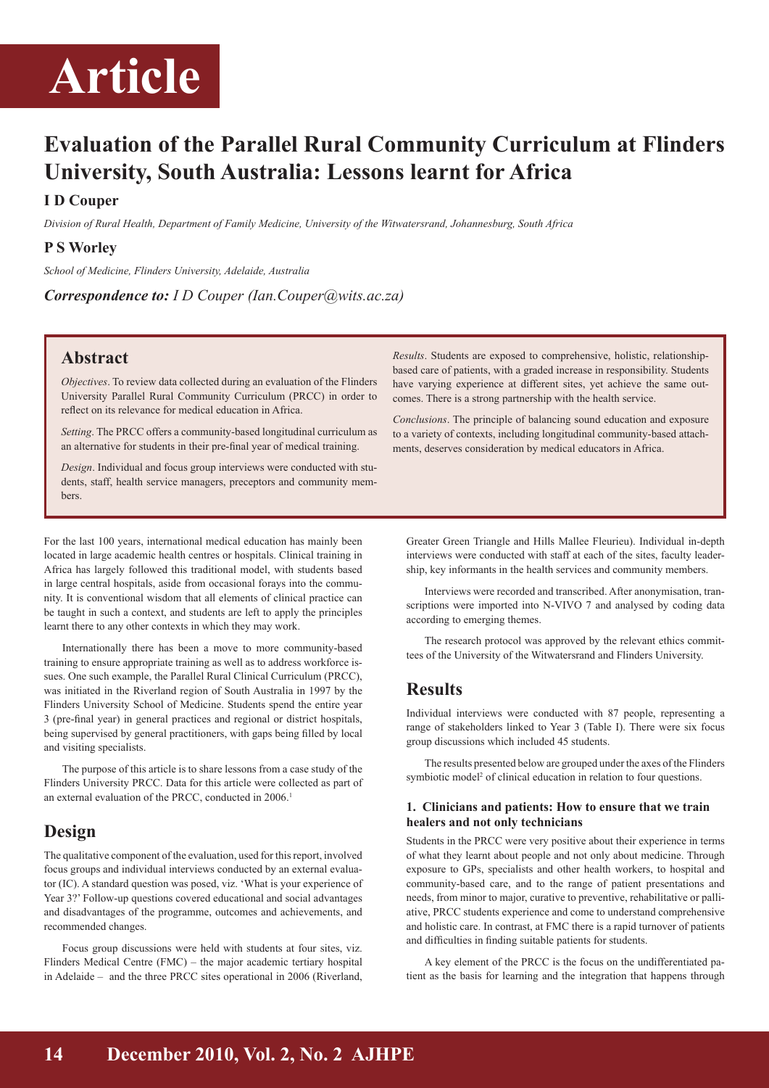# **Article Article**

# **Evaluation of the Parallel Rural Community Curriculum at Flinders University, South Australia: Lessons learnt for Africa**

### **I D Couper**

*Division of Rural Health, Department of Family Medicine, University of the Witwatersrand, Johannesburg, South Africa*

### **P S Worley**

*School of Medicine, Flinders University, Adelaide, Australia*

*Correspondence to: I D Couper (Ian.Couper@wits.ac.za)*

### **Abstract**

*Objectives*. To review data collected during an evaluation of the Flinders University Parallel Rural Community Curriculum (PRCC) in order to reflect on its relevance for medical education in Africa.

*Setting*. The PRCC offers a community-based longitudinal curriculum as an alternative for students in their pre-final year of medical training.

*Design*. Individual and focus group interviews were conducted with students, staff, health service managers, preceptors and community members.

For the last 100 years, international medical education has mainly been located in large academic health centres or hospitals. Clinical training in Africa has largely followed this traditional model, with students based in large central hospitals, aside from occasional forays into the community. It is conventional wisdom that all elements of clinical practice can be taught in such a context, and students are left to apply the principles learnt there to any other contexts in which they may work.

Internationally there has been a move to more community-based training to ensure appropriate training as well as to address workforce issues. One such example, the Parallel Rural Clinical Curriculum (PRCC), was initiated in the Riverland region of South Australia in 1997 by the Flinders University School of Medicine. Students spend the entire year 3 (pre-final year) in general practices and regional or district hospitals, being supervised by general practitioners, with gaps being filled by local and visiting specialists.

The purpose of this article is to share lessons from a case study of the Flinders University PRCC. Data for this article were collected as part of an external evaluation of the PRCC, conducted in 2006.<sup>1</sup>

# **Design**

The qualitative component of the evaluation, used for this report, involved focus groups and individual interviews conducted by an external evaluator (IC). A standard question was posed, viz. 'What is your experience of Year 3?' Follow-up questions covered educational and social advantages and disadvantages of the programme, outcomes and achievements, and recommended changes.

Focus group discussions were held with students at four sites, viz. Flinders Medical Centre (FMC) – the major academic tertiary hospital in Adelaide – and the three PRCC sites operational in 2006 (Riverland,

*Results*. Students are exposed to comprehensive, holistic, relationshipbased care of patients, with a graded increase in responsibility. Students have varying experience at different sites, yet achieve the same outcomes. There is a strong partnership with the health service.

*Conclusions*. The principle of balancing sound education and exposure to a variety of contexts, including longitudinal community-based attachments, deserves consideration by medical educators in Africa.

Greater Green Triangle and Hills Mallee Fleurieu). Individual in-depth interviews were conducted with staff at each of the sites, faculty leadership, key informants in the health services and community members.

Interviews were recorded and transcribed. After anonymisation, transcriptions were imported into N-VIVO 7 and analysed by coding data according to emerging themes.

The research protocol was approved by the relevant ethics committees of the University of the Witwatersrand and Flinders University.

# **Results**

Individual interviews were conducted with 87 people, representing a range of stakeholders linked to Year 3 (Table I). There were six focus group discussions which included 45 students.

The results presented below are grouped under the axes of the Flinders symbiotic model<sup>2</sup> of clinical education in relation to four questions.

#### **1. Clinicians and patients: How to ensure that we train healers and not only technicians**

Students in the PRCC were very positive about their experience in terms of what they learnt about people and not only about medicine. Through exposure to GPs, specialists and other health workers, to hospital and community-based care, and to the range of patient presentations and needs, from minor to major, curative to preventive, rehabilitative or palliative, PRCC students experience and come to understand comprehensive and holistic care. In contrast, at FMC there is a rapid turnover of patients and difficulties in finding suitable patients for students.

A key element of the PRCC is the focus on the undifferentiated patient as the basis for learning and the integration that happens through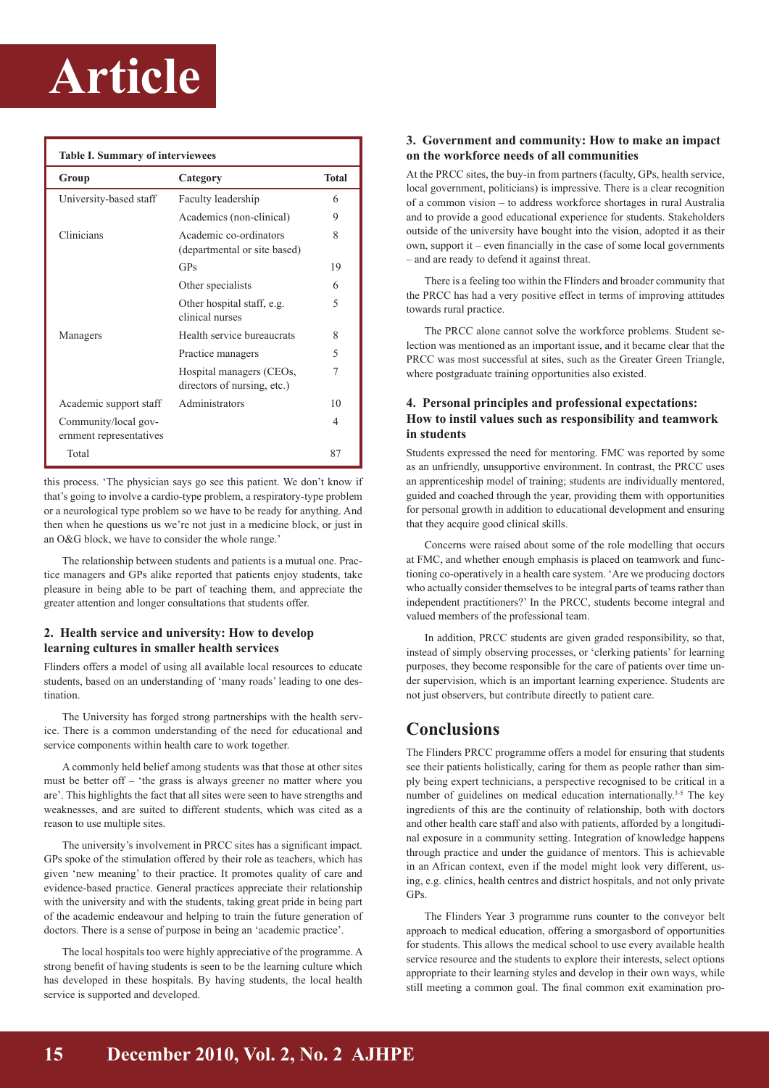# **Article**

| <b>Table I. Summary of interviewees</b>         |                                                         |                |
|-------------------------------------------------|---------------------------------------------------------|----------------|
| Group                                           | Category                                                | <b>Total</b>   |
| University-based staff                          | Faculty leadership                                      | 6              |
|                                                 | Academics (non-clinical)                                | 9              |
| Clinicians                                      | Academic co-ordinators<br>(departmental or site based)  | 8              |
|                                                 | GPs                                                     | 19             |
|                                                 | Other specialists                                       | 6              |
|                                                 | Other hospital staff, e.g.<br>clinical nurses           | $\overline{5}$ |
| Managers                                        | Health service bureaucrats                              | 8              |
|                                                 | Practice managers                                       | 5              |
|                                                 | Hospital managers (CEOs,<br>directors of nursing, etc.) | 7              |
| Academic support staff                          | Administrators                                          | 10             |
| Community/local gov-<br>ernment representatives |                                                         | 4              |
| Total                                           |                                                         | 87             |

this process. 'The physician says go see this patient. We don't know if that's going to involve a cardio-type problem, a respiratory-type problem or a neurological type problem so we have to be ready for anything. And then when he questions us we're not just in a medicine block, or just in an O&G block, we have to consider the whole range.'

The relationship between students and patients is a mutual one. Practice managers and GPs alike reported that patients enjoy students, take pleasure in being able to be part of teaching them, and appreciate the greater attention and longer consultations that students offer.

### **2. Health service and university: How to develop learning cultures in smaller health services**

Flinders offers a model of using all available local resources to educate students, based on an understanding of 'many roads' leading to one destination.

The University has forged strong partnerships with the health service. There is a common understanding of the need for educational and service components within health care to work together.

A commonly held belief among students was that those at other sites must be better off – 'the grass is always greener no matter where you are'. This highlights the fact that all sites were seen to have strengths and weaknesses, and are suited to different students, which was cited as a reason to use multiple sites.

The university's involvement in PRCC sites has a significant impact. GPs spoke of the stimulation offered by their role as teachers, which has given 'new meaning' to their practice. It promotes quality of care and evidence-based practice. General practices appreciate their relationship with the university and with the students, taking great pride in being part of the academic endeavour and helping to train the future generation of doctors. There is a sense of purpose in being an 'academic practice'.

The local hospitals too were highly appreciative of the programme. A strong benefit of having students is seen to be the learning culture which has developed in these hospitals. By having students, the local health service is supported and developed.

#### **3. Government and community: How to make an impact on the workforce needs of all communities**

At the PRCC sites, the buy-in from partners (faculty, GPs, health service, local government, politicians) is impressive. There is a clear recognition of a common vision – to address workforce shortages in rural Australia and to provide a good educational experience for students. Stakeholders outside of the university have bought into the vision, adopted it as their own, support it – even financially in the case of some local governments – and are ready to defend it against threat.

There is a feeling too within the Flinders and broader community that the PRCC has had a very positive effect in terms of improving attitudes towards rural practice.

The PRCC alone cannot solve the workforce problems. Student selection was mentioned as an important issue, and it became clear that the PRCC was most successful at sites, such as the Greater Green Triangle, where postgraduate training opportunities also existed.

### **4. Personal principles and professional expectations: How to instil values such as responsibility and teamwork in students**

Students expressed the need for mentoring. FMC was reported by some as an unfriendly, unsupportive environment. In contrast, the PRCC uses an apprenticeship model of training; students are individually mentored, guided and coached through the year, providing them with opportunities for personal growth in addition to educational development and ensuring that they acquire good clinical skills.

Concerns were raised about some of the role modelling that occurs at FMC, and whether enough emphasis is placed on teamwork and functioning co-operatively in a health care system. 'Are we producing doctors who actually consider themselves to be integral parts of teams rather than independent practitioners?' In the PRCC, students become integral and valued members of the professional team.

In addition, PRCC students are given graded responsibility, so that, instead of simply observing processes, or 'clerking patients' for learning purposes, they become responsible for the care of patients over time under supervision, which is an important learning experience. Students are not just observers, but contribute directly to patient care.

# **Conclusions**

The Flinders PRCC programme offers a model for ensuring that students see their patients holistically, caring for them as people rather than simply being expert technicians, a perspective recognised to be critical in a number of guidelines on medical education internationally.<sup>3-5</sup> The key ingredients of this are the continuity of relationship, both with doctors and other health care staff and also with patients, afforded by a longitudinal exposure in a community setting. Integration of knowledge happens through practice and under the guidance of mentors. This is achievable in an African context, even if the model might look very different, using, e.g. clinics, health centres and district hospitals, and not only private GPs.

The Flinders Year 3 programme runs counter to the conveyor belt approach to medical education, offering a smorgasbord of opportunities for students. This allows the medical school to use every available health service resource and the students to explore their interests, select options appropriate to their learning styles and develop in their own ways, while still meeting a common goal. The final common exit examination pro-